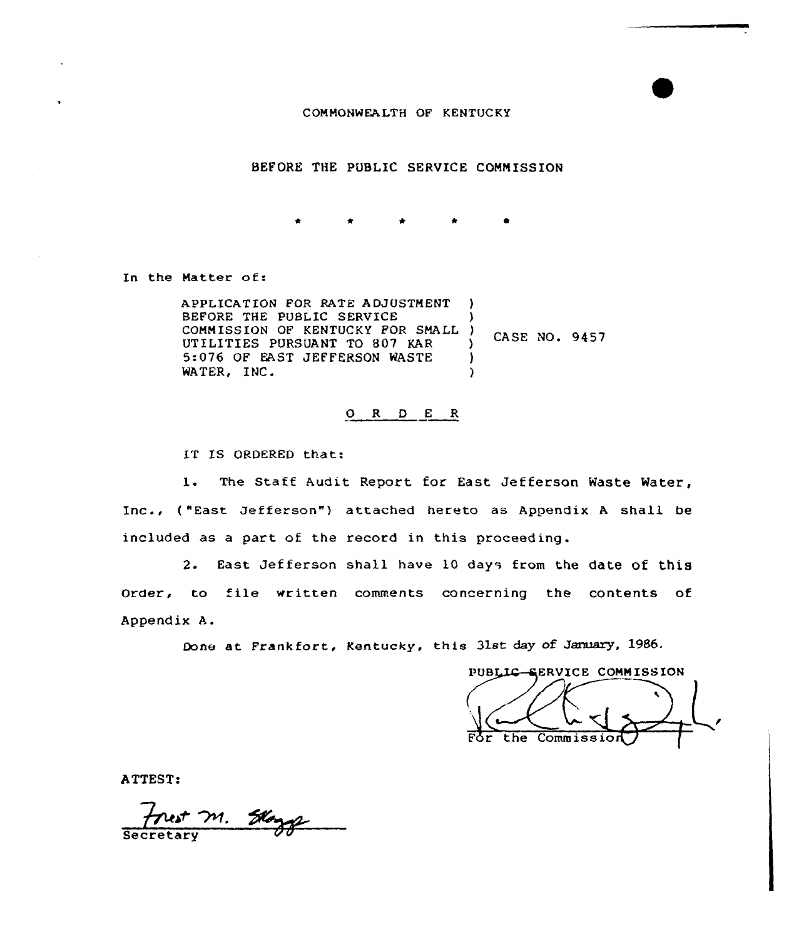COMMONWEALTH OF KENTUCKY

BEFORE THE PUBLIC SERVICE COMM ISSION

In the Matter of:

APPLICATION FOR BATE ADJUSTMENT BEFORE THE PUBLIC SERVICE COMMISSION OF KENTUCKY FOR SMALL UTILITIES PURSUANT TO 807 KAR 5-076 OF EAST JEFFERSON WASTE WATER, INC. ) )  $\frac{7}{2}$  CASE NO. 9457 )  $\lambda$ 

#### 0 <sup>R</sup> <sup>D</sup> E <sup>R</sup>

IT IS ORDERED that:

1. The Staff Audit Report for East Jefferson Waste Water, Inc., ( "East Jefferson") attached hereto as Appendix <sup>A</sup> shall be included as a part of the record in this proceeding.

2. East Jef ferson shall have 10 days from the date of this Order, to file written comments concerning the contents of Appendix A.

Done at Frankfort, Kentucky, this 31st day of January, 1986.

PUBLIC-SERVICE COMMISSION the Commissio

ATTEST:

Frest M. Slog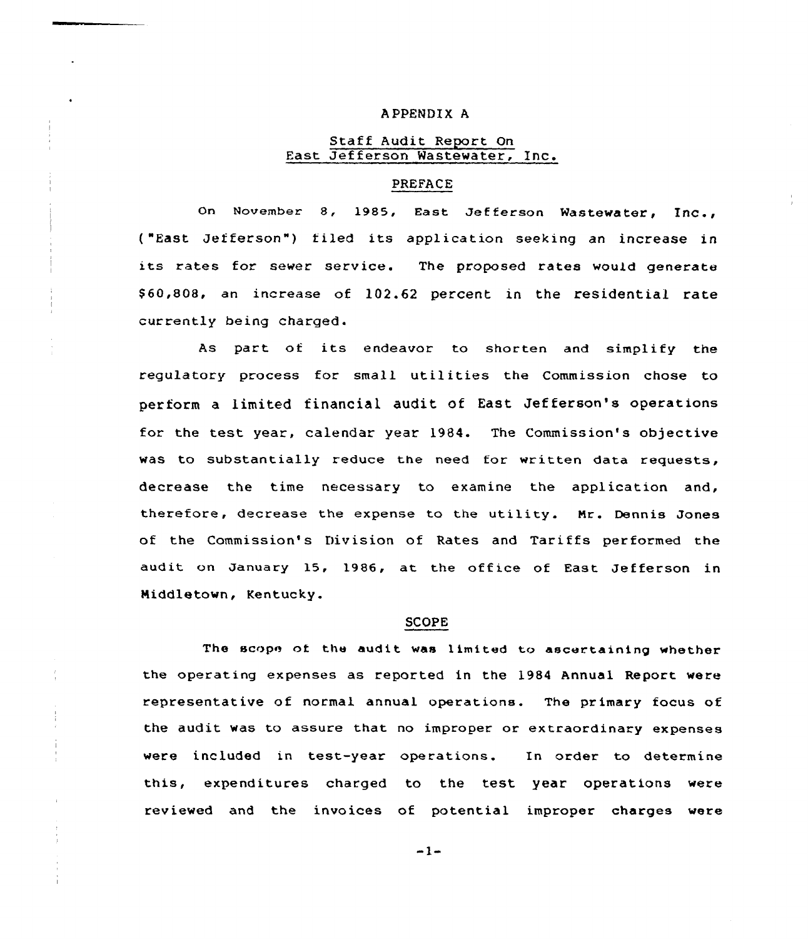#### A PPENDIX A

#### Staff Audit Report On East Jefferson Wastewater, Inc.

#### PREFACE

On November 8, 1985, East Jefferson Wastewater, Inc., ("East Jefferson") filed its application seeking an increase in its rates for sewer service. The proposed rates would generate \$60,808, an increase of 102.62 percent in the residential rate currently being charged.

As part of its endeavor to shorten and simplify the regulatory process for small utilities the Commission chose to perform a limited financial audit of East Jefferson's operations for the test year, calendar year 1984. The Commission's objective was to substantially reduce the need for written data requests, decrease the time necessary to examine the application and, therefore, decrease the expense to the utility. Mr. Dennis Jones of the Commission's Division of Rates and Tariffs performed the audit on January 15, 1986, at the office of East Jefferson in Middletown, Kentucky.

#### SCOPE

The scope ot the audit was limited to ascertaining whether the operating expenses as reported in the 1984 Annual Report were representative of normal annual operations. The primary focus of the audit was to assure that no improper or extraordinary expenses were included in test-year operations. In order to determine this, expenditures charged to the test year operations were reviewed and the invoices of potential improper charges were

 $-1-$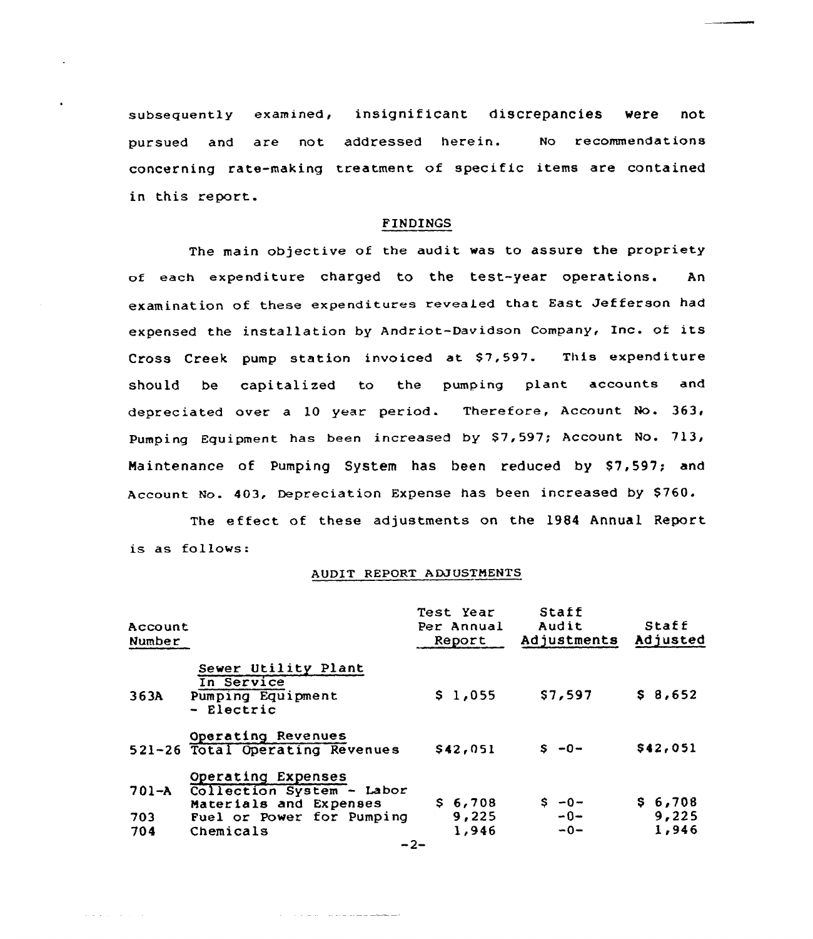subsequently examined, insignificant discrepancies were not pursued and are not addressed herein. No recommendations concerning rate-making treatment of specific items are contained in this report.

#### FINDINGS

The main objective of the audit was to assure the propriety of each expenditure charged to the test-year operations. An. examination of these expenditures revealed that East Jefferson had expensed the installation by Andriot-Davidson Company, Inc. of its Cross Creek pump station invoiced at \$7,597. This expenditure should be capitalized to the pumping plant accounts and depreciated over a 10 year period. Therefore, Account No. 363, Pumping Equipment has been increased by \$7,597; Account No. 713, Maintenance of Pumping System has been reduced by S7,597; and Account No. 403, Depreciation Expense has been increased by \$760.

The effect of these adjustments on the 1984 Annual Report is as follows:

#### AUDIT REPORT A DJ USTMENTS

| Account<br>Number   |                                                                                                                     | Test Year<br>Per Annual<br>Report | Staff<br>Audit<br>Adjustments | Staff<br>Adjusted         |
|---------------------|---------------------------------------------------------------------------------------------------------------------|-----------------------------------|-------------------------------|---------------------------|
| 363A                | Sewer Utility Plant<br>In Service<br>Pumping Equipment<br>- Electric                                                | \$1,055                           | \$7,597                       | \$8,652                   |
|                     | Operating Revenues<br>521-26 Total Operating Revenues                                                               | \$42,051                          | $S - 0 -$                     | \$42,051                  |
| 701-A<br>703<br>704 | Operating Expenses<br>Collection System - Labor<br>Materials and Expenses<br>Fuel or Power for Pumping<br>Chemicals | \$6,708<br>9,225<br>1,946         | $S - 0 -$<br>$-0-$<br>$-0-$   | \$6.708<br>9,225<br>1,946 |

 $\mathcal{A}$  ,  $\mathcal{A}$  ,  $\mathcal{A}$  ,  $\mathcal{A}$  ,  $\mathcal{A}$  ,  $\mathcal{A}$  ,  $\mathcal{A}$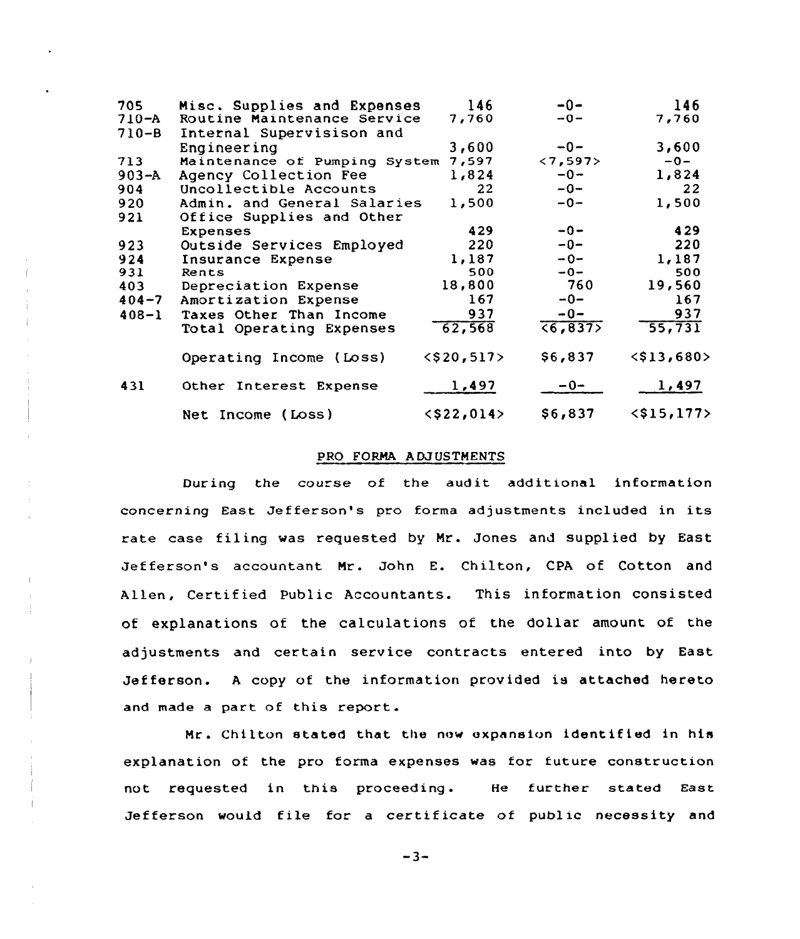| 705       | Misc. Supplies and Expenses   | 146           | -0-                      | 146           |
|-----------|-------------------------------|---------------|--------------------------|---------------|
| $710 - A$ | Routine Maintenance Service   | 7,760         | $-0-$                    | 7,760         |
| $710 - B$ | Internal Supervisison and     |               |                          |               |
|           | Engineering                   | 3,600         | $-0-$                    | 3,600         |
| 713       | Maintenance of Pumping System | 7,597         | $\langle 7, 597 \rangle$ | $-0-$         |
| $903 - A$ | Agency Collection Fee         | 1,824         | $-0-$                    | 1,824         |
| 904       | Uncollectible Accounts        | 22            | $-0-$                    | 22            |
| 920       | Admin. and General Salaries   | 1,500         | $-0-$                    | 1,500         |
| 921       | Office Supplies and Other     |               |                          |               |
|           | <b>Expenses</b>               | 429           | $-0-$                    | 429           |
| 923       | Outside Services Employed     | 220           | $-0-$                    | 220           |
| 924       | Insurance Expense             | 1,187         | $-0-$                    | 1,187         |
| 931       | Rents                         | 500           | $-0-$                    | 500           |
| 403       | Depreciation Expense          | 18,800        | - 760                    | 19,560        |
| $404 - 7$ | Amortization Expense          | 167           | -0-                      | 167           |
| $408 - 1$ | Taxes Other Than Income       | 937           | $-0-$                    | 937           |
|           | Total Operating Expenses      | 62,568        | (6, 837)                 | 55,731        |
|           | Operating Income (Loss)       | $<$ \$20,517> | \$6,837                  | $<$ \$13,680> |
| 431       | Other Interest Expense        | 1,497         | $-0-$                    | 1,497         |
|           | Net Income (Loss)             | $<$ \$22,014> | \$6,837                  | $<$ \$15,177> |

#### PRO FORMA ADJUSTMENTS

During the course of the audit additional information concerning East Jefferson's pro forma adjustments included in its rate case filing was requested by Mr. Jones and supplied by East Jefferson's accountant Mr. John E. Chilton, CPA of Cotton and Allen, Certified Public Accountants. This information consisted of explanations of the calculations of the dollar amount of the adjustments and certain service contracts entered into by East Jefferson. A copy of the information provided is attached hereto and made a part of this report.

Mr. Chilton stated that the now expansion identified in his explanation of the pro forma expenses was for future construction not requested in this proceeding. He further stated East Jefferson would file for a certificate of public necessity and

 $-3-$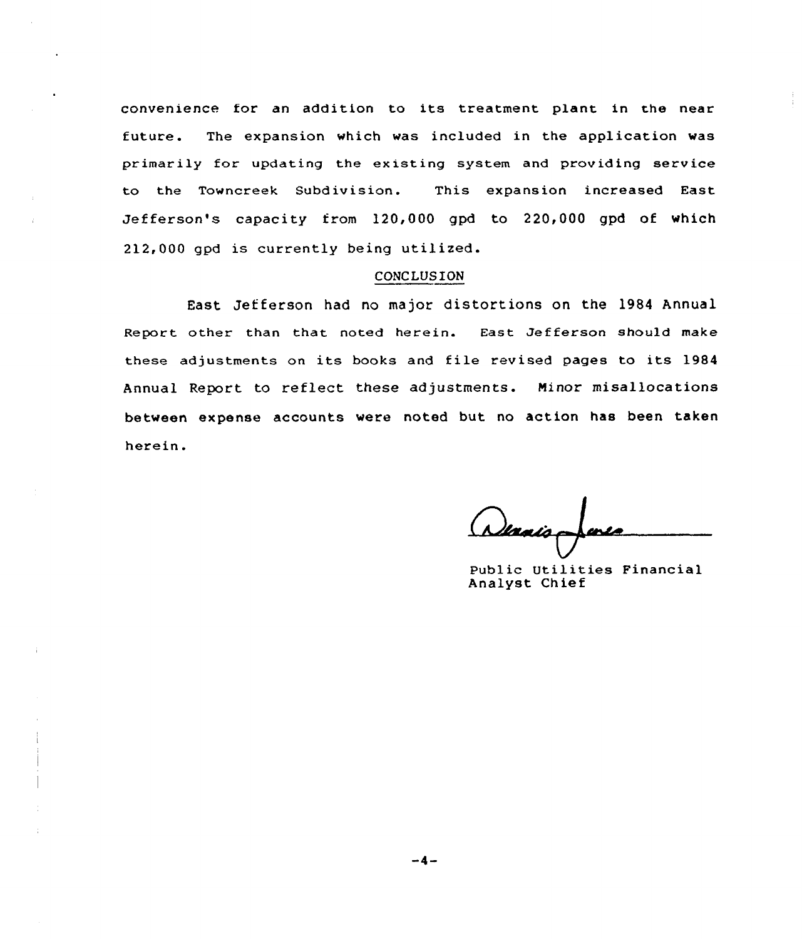convenience for an addition to its treatment plant in the near future. The expansion which was included in the application was primarily for updating the existing system and providing service to the Towncreek Subdivision. This expansion increased East Jefferson's capacity from 120,000 gpd to 220,000 gpd of which 212,000 gpd is currently being utilized.

#### CONCLUSION

East Jefferson had no major distortions on the 1984 Annual Report other than that noted herein. East Jefferson should make these adjustments on its books and file revised pages to its 1984 Annual Report to reflect these adjustments. Minor misallocations between expense accounts were noted but no action has been taken herein.

Wanis

Public Utilities Financial Analyst Chief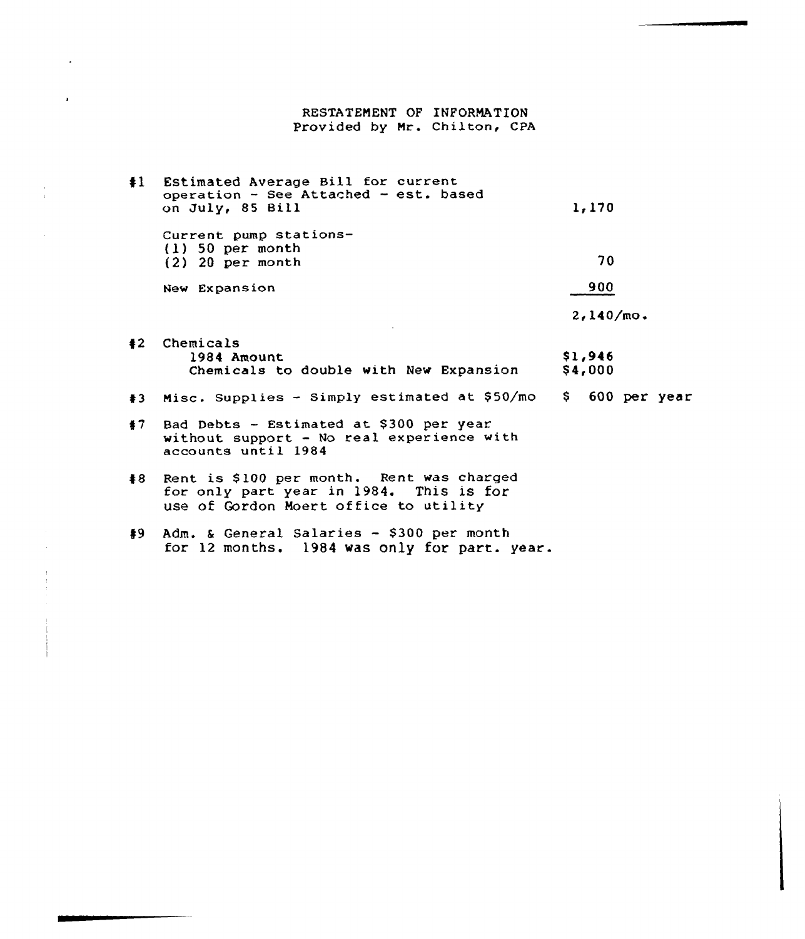### RESTATEMENT OF INFORMATION Provided by Mr. Chilton, CPA

 $\ddot{\phantom{0}}$ 

| $\ddagger$ | Estimated Average Bill for current<br>operation - See Attached - est. based<br>on July, 85 Bill                               | 1,170              |                |
|------------|-------------------------------------------------------------------------------------------------------------------------------|--------------------|----------------|
|            | Current pump stations-<br>$(1)$ 50 per month<br>$(2)$ 20 per month                                                            | 70                 |                |
|            | New Expansion                                                                                                                 | 900                |                |
|            |                                                                                                                               | $2,140/mo$ .       |                |
|            | #2 Chemicals<br>1984 Amount<br>Chemicals to double with New Expansion                                                         | \$1,946<br>\$4,000 |                |
| #3         | Misc. Supplies - Simply estimated at \$50/mo                                                                                  |                    | \$600~per~year |
| #7         | Bad Debts - Estimated at \$300 per year<br>without support - No real experience with<br>accounts until 1984                   |                    |                |
| #8         | Rent is \$100 per month. Rent was charged<br>for only part year in 1984. This is for<br>use of Gordon Moert office to utility |                    |                |

49 Adm. <sup>6</sup> General Salaries — \$ 300 per month for 12 months. 1984 was only for part. year.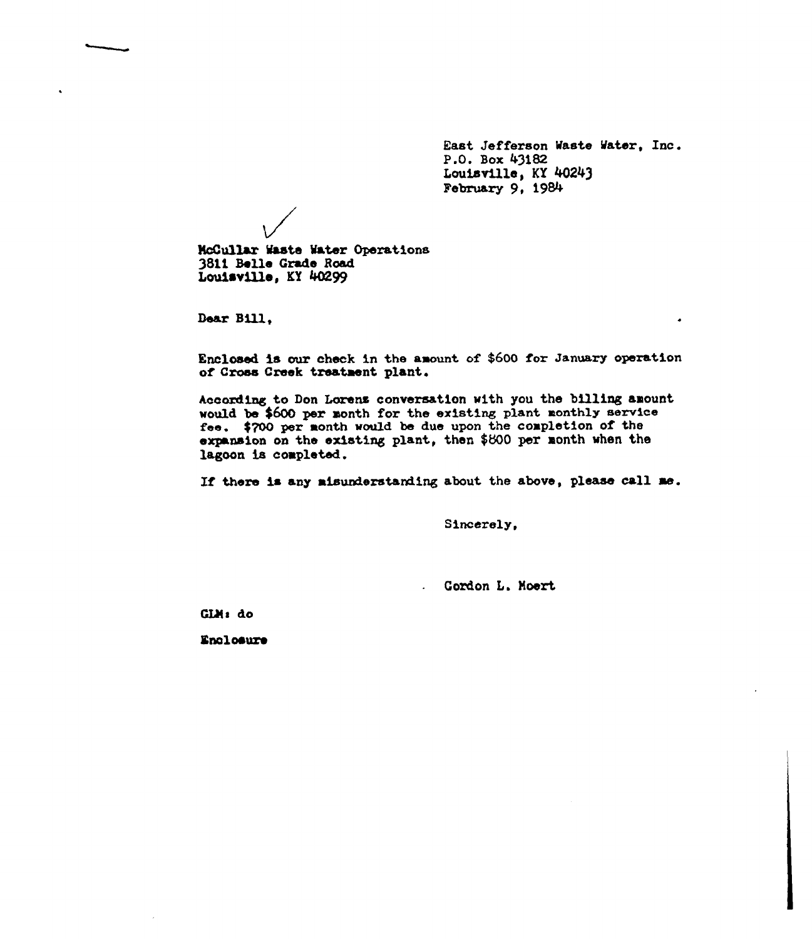East Jefferson Waste Mater, Inc. P.G. Box 43182 Louisville, KY 40243 February 9, 1984

NcCullar Maste Mater Operat1ons 3811 Belle Grade Road Louisville, KY 40299

Dear Bill.

Enclosed is our check in the axount of \$600 for January operation of Cross Creek treatxent plant.

According to Don Lorens conversation with you the billing amount would be \$600 per month for the existing plant monthly service fee. \$700 per xonth would be due upon the coxpletion of the expansion on the existing plant, then \$800 per month when the lagoon is completed.

If there is any misunderstanding about the above, please call me.

Sincerely,

Gordon L. Moert

GLM: do

Enclosure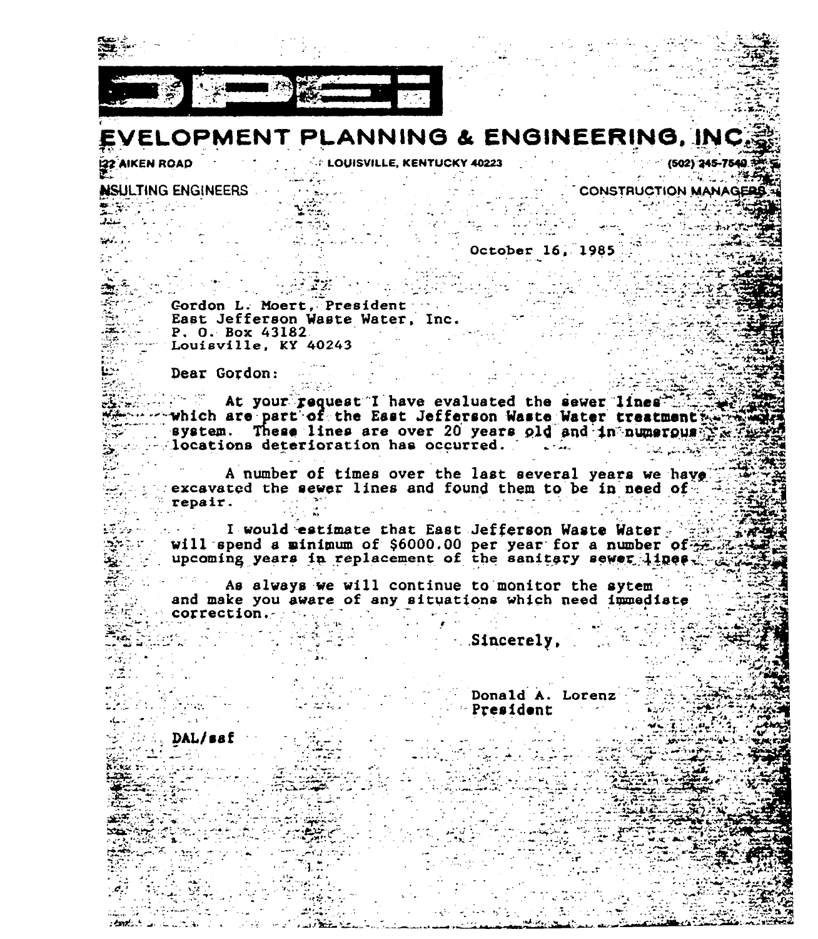

# EVELOPMENT PLANNING & ENGINEERING. IN

**EZZ AIKEN ROAD** 

**EXAMPLE 2018 VILLE, KENTUCKY 40223** 

NSULTING ENGINEERS  $\frac{1}{2} \left( \frac{1}{2} \sum_{i=1}^{n} \sum_{j=1}^{n} \sum_{j=1}^{n} \sum_{j=1}^{n} \sum_{j=1}^{n} \sum_{j=1}^{n} \sum_{j=1}^{n} \sum_{j=1}^{n} \sum_{j=1}^{n} \sum_{j=1}^{n} \sum_{j=1}^{n} \sum_{j=1}^{n} \sum_{j=1}^{n} \sum_{j=1}^{n} \sum_{j=1}^{n} \sum_{j=1}^{n} \sum_{j=1}^{n} \sum_{j=1}^{n} \sum_{j=1}^{n} \sum_{j=1}^{n} \sum_{$ 

> **Contract Contract** October 16, 1985

 $-$  (502) 245-7540 معارضه الأرادية

**CONSTRUCTION MANAGE** 

Cordon L. Moert. President East Jefferson Waste Water, Inc.  $P. 0. Box 43182$ Louisville,  $KY$  40243

Dear Gordon:

 $\mathbb{R}^n$ . At your request I have evaluated the sewer lines in  $\mathbb{R}$ which are part of the East Jefferson Waste Water treatment we system. These lines are over 20 years old and in numerous  $\sim$ locations deterioration has occurred.

A number of times over the last several years we have excavated the sewer lines and found them to be in need of.  $\in$  repair.

I would estimate that East Jefferson Waste Water will spend a minimum of \$6000.00 per year for a number of

As always we will continue to monitor the sytem and make you aware of any situations which need immediate  $\sim$  correction.  $\sim$  . The correction

Sincerely.

Donald A. Lorenz President

DAL/ssf